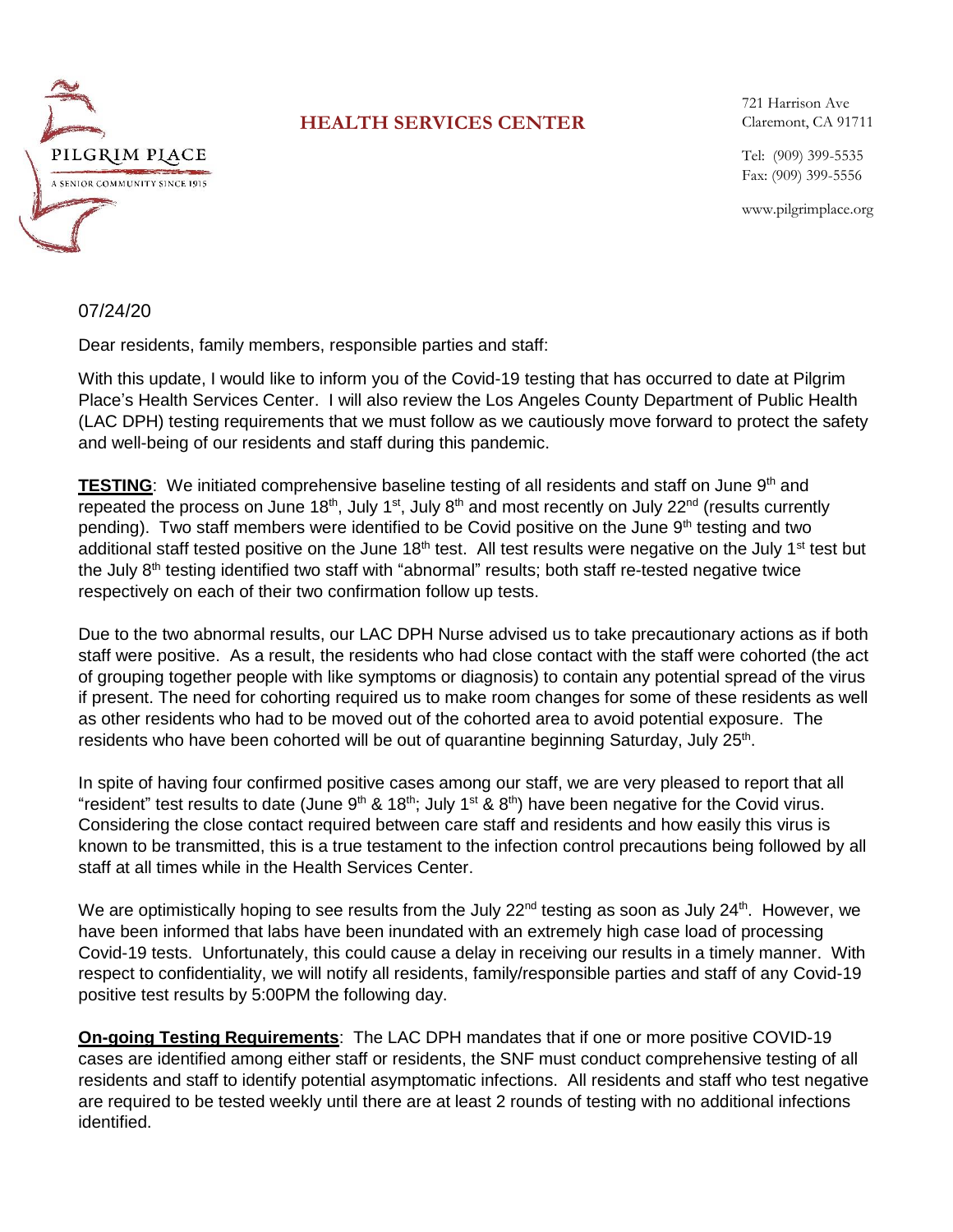

## **HEALTH SERVICES CENTER**

721 Harrison Ave Claremont, CA 91711

Tel: (909) 399-5535 Fax: (909) 399-5556

www.pilgrimplace.org

## 07/24/20

Dear residents, family members, responsible parties and staff:

With this update, I would like to inform you of the Covid-19 testing that has occurred to date at Pilgrim Place's Health Services Center. I will also review the Los Angeles County Department of Public Health (LAC DPH) testing requirements that we must follow as we cautiously move forward to protect the safety and well-being of our residents and staff during this pandemic.

**TESTING**: We initiated comprehensive baseline testing of all residents and staff on June 9<sup>th</sup> and repeated the process on June 18<sup>th</sup>, July 1<sup>st</sup>, July 8<sup>th</sup> and most recently on July 22<sup>nd</sup> (results currently pending). Two staff members were identified to be Covid positive on the June  $9<sup>th</sup>$  testing and two additional staff tested positive on the June 18<sup>th</sup> test. All test results were negative on the July 1<sup>st</sup> test but the July 8<sup>th</sup> testing identified two staff with "abnormal" results; both staff re-tested negative twice respectively on each of their two confirmation follow up tests.

Due to the two abnormal results, our LAC DPH Nurse advised us to take precautionary actions as if both staff were positive. As a result, the residents who had close contact with the staff were cohorted (the act of grouping together people with like symptoms or diagnosis) to contain any potential spread of the virus if present. The need for cohorting required us to make room changes for some of these residents as well as other residents who had to be moved out of the cohorted area to avoid potential exposure. The residents who have been cohorted will be out of quarantine beginning Saturday, July 25<sup>th</sup>.

In spite of having four confirmed positive cases among our staff, we are very pleased to report that all "resident" test results to date (June 9<sup>th</sup> & 18<sup>th</sup>; July 1<sup>st</sup> & 8<sup>th</sup>) have been negative for the Covid virus. Considering the close contact required between care staff and residents and how easily this virus is known to be transmitted, this is a true testament to the infection control precautions being followed by all staff at all times while in the Health Services Center.

We are optimistically hoping to see results from the July 22<sup>nd</sup> testing as soon as July 24<sup>th</sup>. However, we have been informed that labs have been inundated with an extremely high case load of processing Covid-19 tests. Unfortunately, this could cause a delay in receiving our results in a timely manner. With respect to confidentiality, we will notify all residents, family/responsible parties and staff of any Covid-19 positive test results by 5:00PM the following day.

**On-going Testing Requirements**: The LAC DPH mandates that if one or more positive COVID-19 cases are identified among either staff or residents, the SNF must conduct comprehensive testing of all residents and staff to identify potential asymptomatic infections. All residents and staff who test negative are required to be tested weekly until there are at least 2 rounds of testing with no additional infections identified.